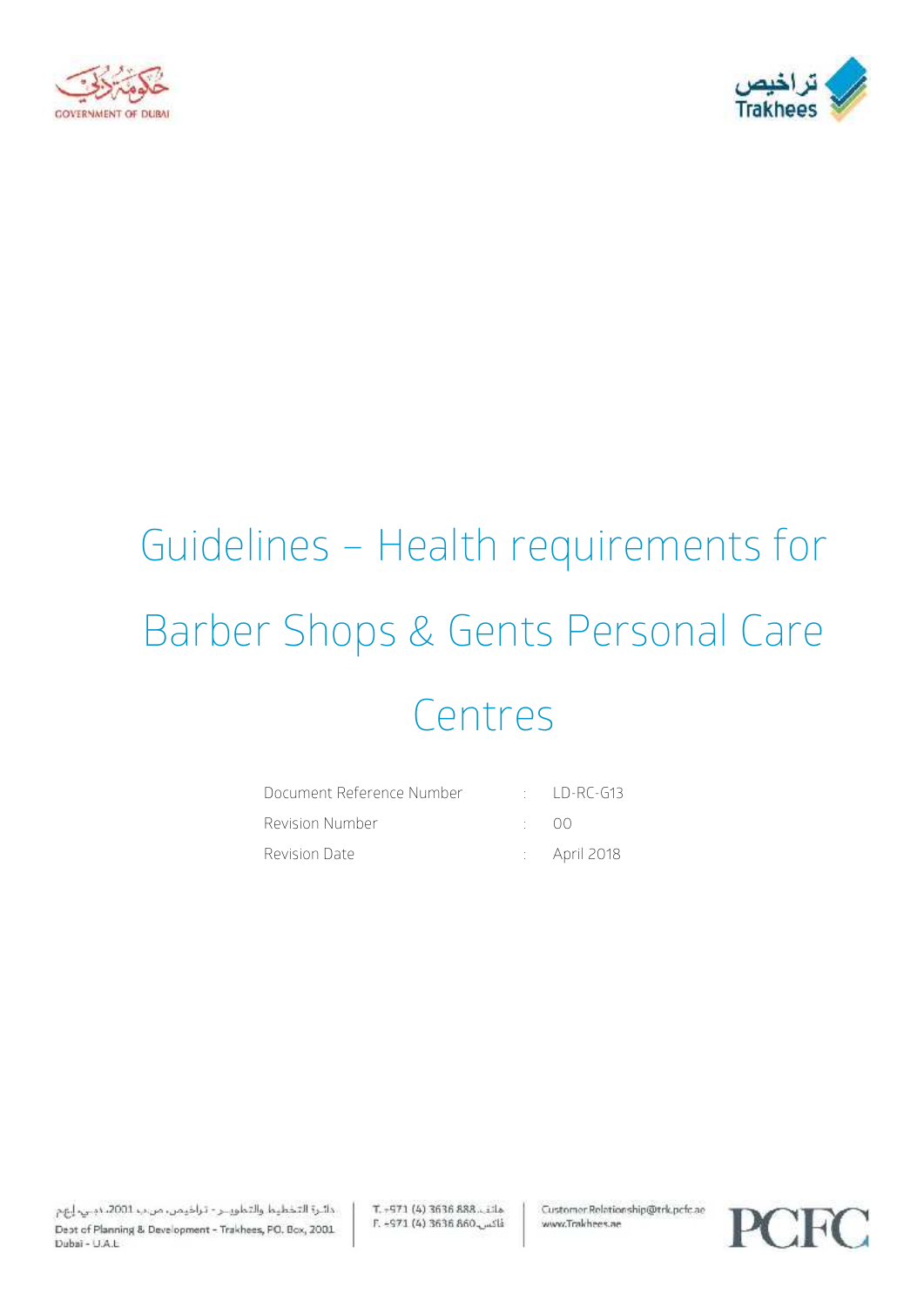



# Guidelines – Health requirements for Barber Shops & Gents Personal Care Centres

| Document Reference Number |              | $\therefore$ ID-RC-G13  |
|---------------------------|--------------|-------------------------|
| Revision Number           | $\cdot$ ()() |                         |
| Revision Date             |              | $\therefore$ April 2018 |

دائرة التخطيط والتطويــر - تراخيمن، من ب 2001، دبـي، إيهم Dept of Planning & Development - Trakhees, PO. Box, 2001 Dubai - U.A.L.

 $T. -571(4)3636888...$ illa E. -971 (4) 3636 860 Customer.Relationship@trk.pcfc.ae www.Trakhees.ae

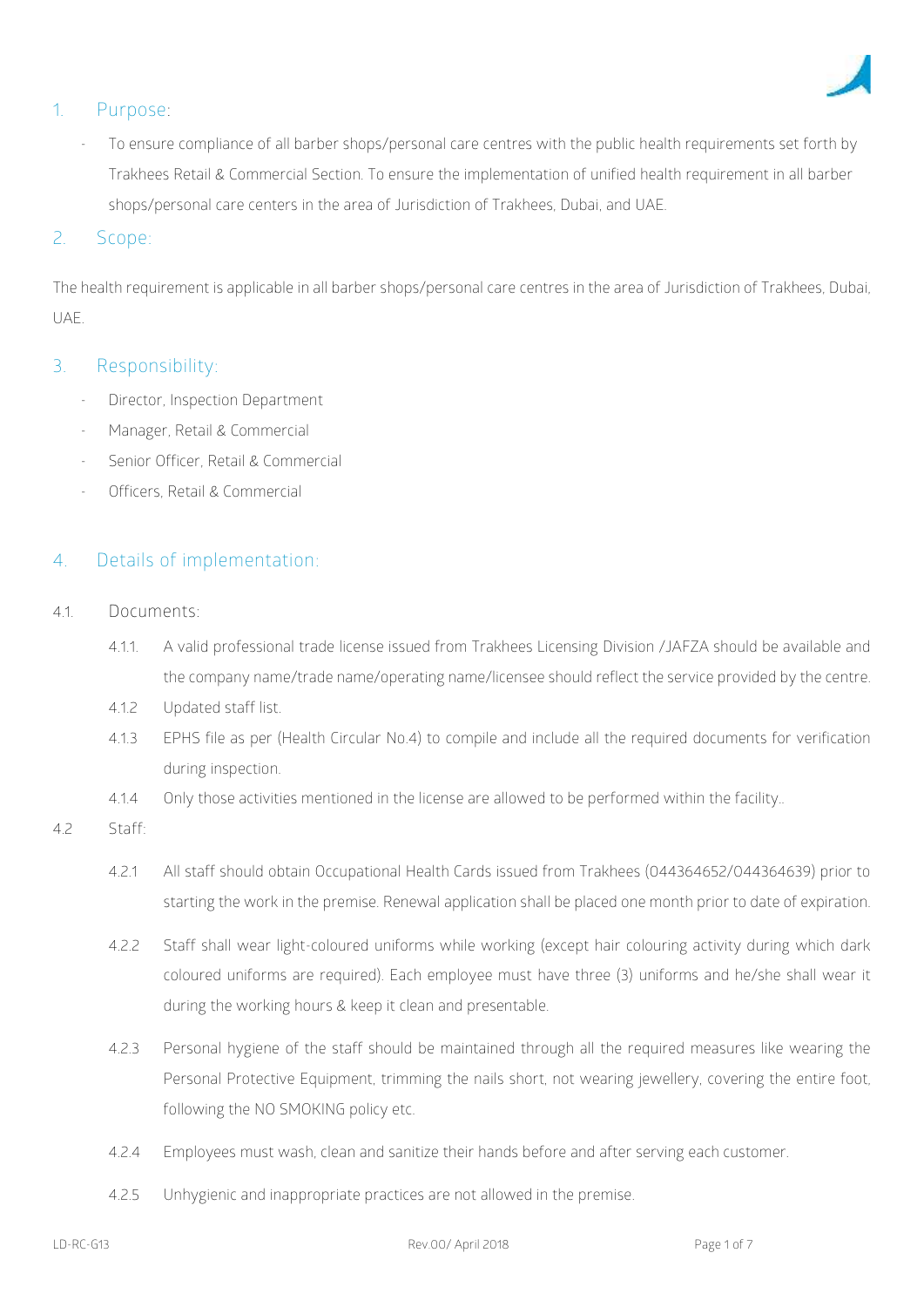

# **1. Purpose:**

To ensure compliance of all barber shops/personal care centres with the public health requirements set forth by Trakhees Retail & Commercial Section. To ensure the implementation of unified health requirement in all barber shops/personal care centers in the area of Jurisdiction of Trakhees, Dubai, and UAE.

#### 2. **Scope**:

The health requirement is applicable in all barber shops/personal care centres in the area of Jurisdiction of Trakhees, Dubai, UAE.

### **3. Responsibility:**

- Director, Inspection Department
- Manager, Retail & Commercial
- Senior Officer, Retail & Commercial
- Officers, Retail & Commercial

# **4. Details of implementation**:

- 4.1. **Documents:**
	- 4.1.1. A valid professional trade license issued from Trakhees Licensing Division /JAFZA should be available and the company name/trade name/operating name/licensee should reflect the service provided by the centre.
	- 4.1.2 Updated staff list.
	- 4.1.3 EPHS file as per (Health Circular No.4) to compile and include all the required documents for verification during inspection.
	- 4.1.4 Only those activities mentioned in the license are allowed to be performed within the facility..

#### 4.2 **Staff:**

- 4.2.1 All staff should obtain Occupational Health Cards issued from Trakhees (044364652/044364639) prior to starting the work in the premise. Renewal application shall be placed one month prior to date of expiration.
- 4.2.2 Staff shall wear light-coloured uniforms while working (except hair colouring activity during which dark coloured uniforms are required). Each employee must have three (3) uniforms and he/she shall wear it during the working hours & keep it clean and presentable.
- 4.2.3 Personal hygiene of the staff should be maintained through all the required measures like wearing the Personal Protective Equipment, trimming the nails short, not wearing jewellery, covering the entire foot, following the NO SMOKING policy etc.
- 4.2.4 Employees must wash, clean and sanitize their hands before and after serving each customer.
- 4.2.5 Unhygienic and inappropriate practices are not allowed in the premise.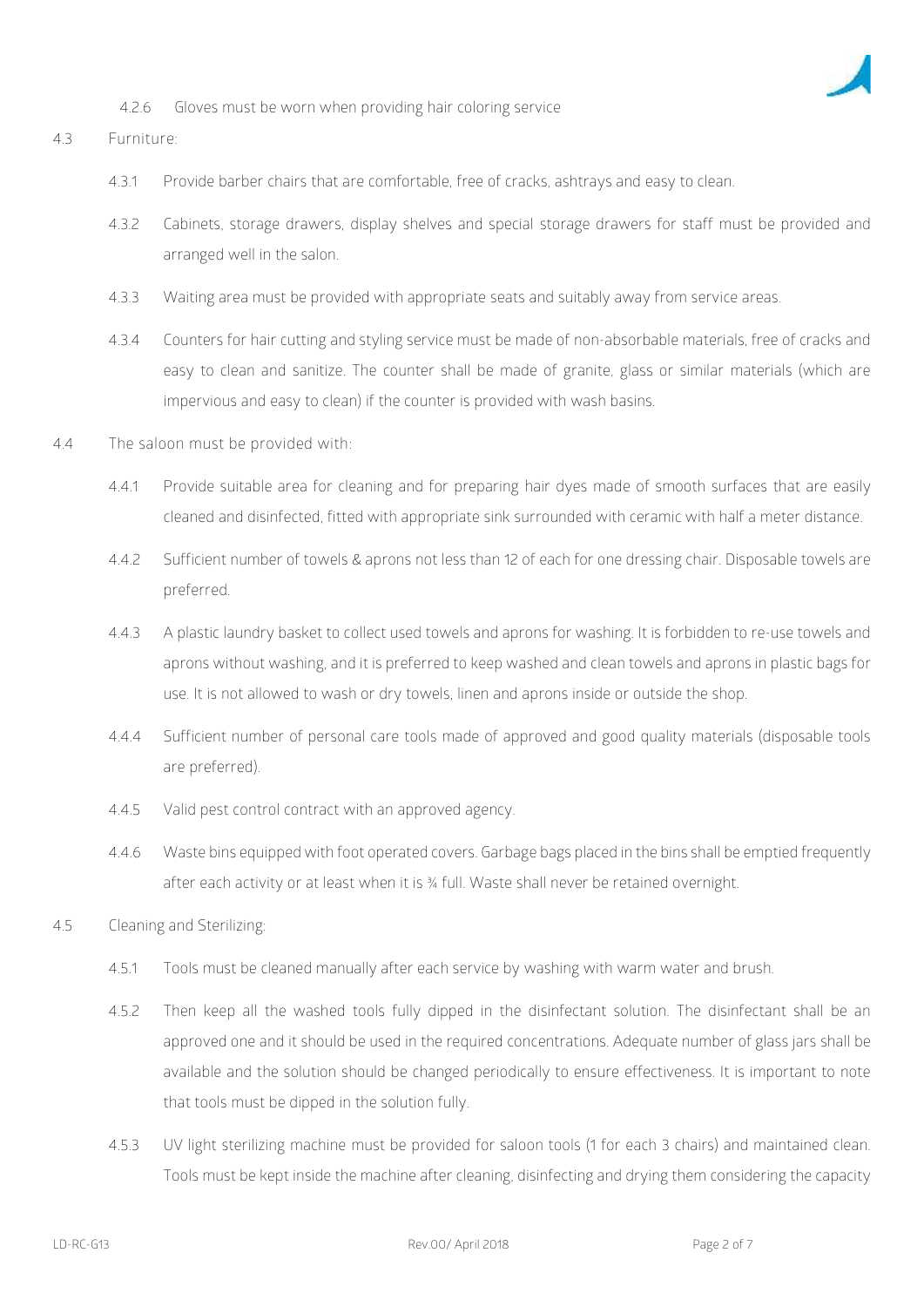

4.2.6 Gloves must be worn when providing hair coloring service

#### 4.3 **Furniture:**

- 4.3.1 Provide barber chairs that are comfortable, free of cracks, ashtrays and easy to clean.
- 4.3.2 Cabinets, storage drawers, display shelves and special storage drawers for staff must be provided and arranged well in the salon.
- 4.3.3 Waiting area must be provided with appropriate seats and suitably away from service areas.
- 4.3.4 Counters for hair cutting and styling service must be made of non-absorbable materials, free of cracks and easy to clean and sanitize. The counter shall be made of granite, glass or similar materials (which are impervious and easy to clean) if the counter is provided with wash basins.
- 4.4 **The saloon must be provided with:**
	- 4.4.1 Provide suitable area for cleaning and for preparing hair dyes made of smooth surfaces that are easily cleaned and disinfected, fitted with appropriate sink surrounded with ceramic with half a meter distance.
	- 4.4.2 Sufficient number of towels & aprons not less than 12 of each for one dressing chair. Disposable towels are preferred.
	- 4.4.3 A plastic laundry basket to collect used towels and aprons for washing. It is forbidden to re-use towels and aprons without washing, and it is preferred to keep washed and clean towels and aprons in plastic bags for use. It is not allowed to wash or dry towels, linen and aprons inside or outside the shop.
	- 4.4.4 Sufficient number of personal care tools made of approved and good quality materials (disposable tools are preferred).
	- 4.4.5 Valid pest control contract with an approved agency.
	- 4.4.6 Waste bins equipped with foot operated covers. Garbage bags placed in the bins shall be emptied frequently after each activity or at least when it is 3/4 full. Waste shall never be retained overnight.
- 4.5 Cleaning and Sterilizing:
	- 4.5.1 Tools must be cleaned manually after each service by washing with warm water and brush.
	- 4.5.2 Then keep all the washed tools fully dipped in the disinfectant solution. The disinfectant shall be an approved one and it should be used in the required concentrations. Adequate number of glass jars shall be available and the solution should be changed periodically to ensure effectiveness. It is important to note that tools must be dipped in the solution fully.
	- 4.5.3 UV light sterilizing machine must be provided for saloon tools (1 for each 3 chairs) and maintained clean. Tools must be kept inside the machine after cleaning, disinfecting and drying them considering the capacity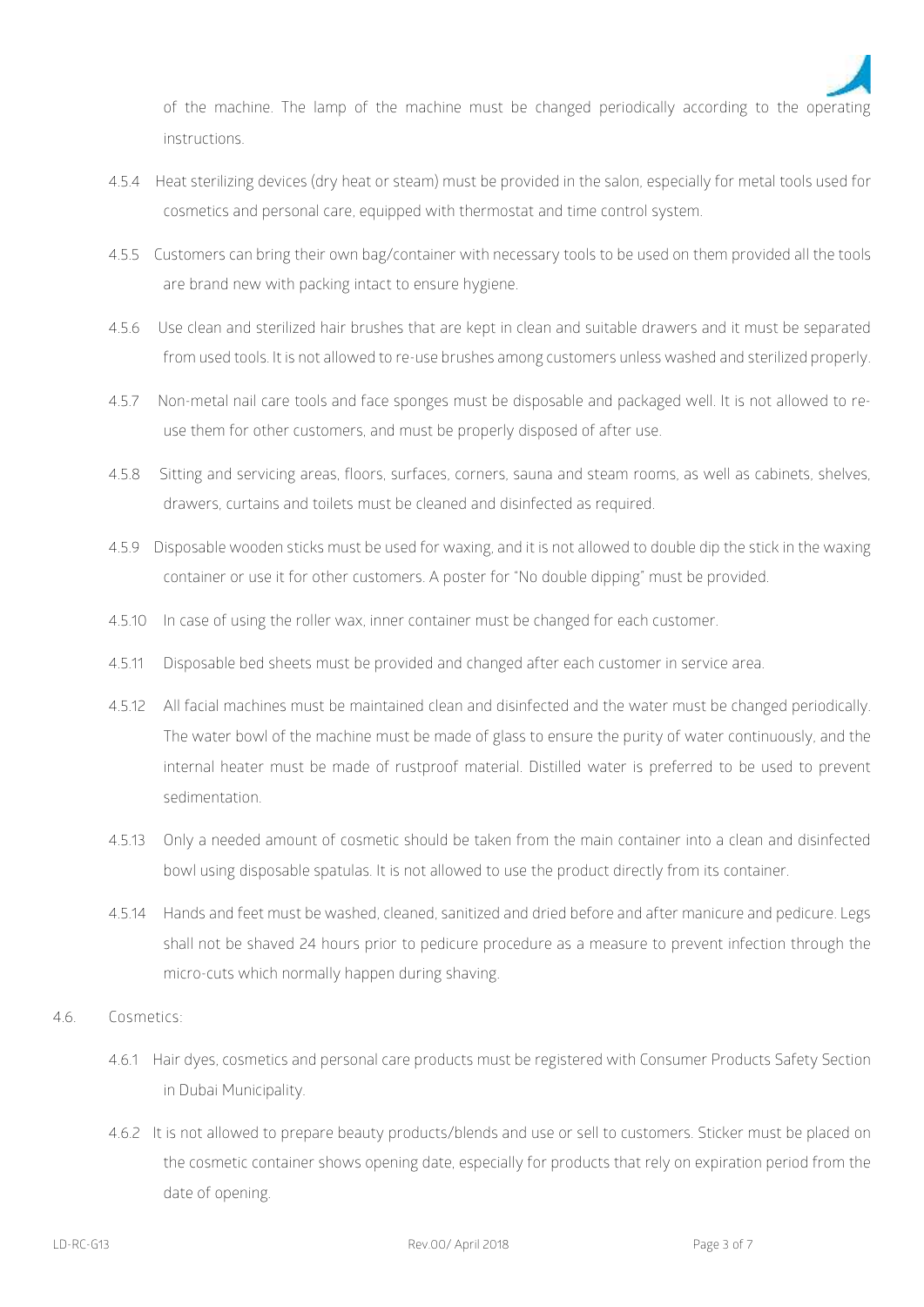

of the machine. The lamp of the machine must be changed periodically according to the operating instructions.

- 4.5.4 Heat sterilizing devices (dry heat or steam) must be provided in the salon, especially for metal tools used for cosmetics and personal care, equipped with thermostat and time control system.
- 4.5.5 Customers can bring their own bag/container with necessary tools to be used on them provided all the tools are brand new with packing intact to ensure hygiene.
- 4.5.6 Use clean and sterilized hair brushes that are kept in clean and suitable drawers and it must be separated from used tools. It is not allowed to re-use brushes among customers unless washed and sterilized properly.
- 4.5.7 Non-metal nail care tools and face sponges must be disposable and packaged well. It is not allowed to re use them for other customers, and must be properly disposed of after use.
- 4.5.8 Sitting and servicing areas, floors, surfaces, corners, sauna and steam rooms, as well as cabinets, shelves, drawers, curtains and toilets must be cleaned and disinfected as required.
- 4.5.9 Disposable wooden sticks must be used for waxing, and it is not allowed to double dip the stick in the waxing container or use it for other customers. A poster for "No double dipping" must be provided.
- 4.5.10 In case of using the roller wax, inner container must be changed for each customer.
- 4.5.11 Disposable bed sheets must be provided and changed after each customer in service area.
- 4.5.12 All facial machines must be maintained clean and disinfected and the water must be changed periodically. The water bowl of the machine must be made of glass to ensure the purity of water continuously, and the internal heater must be made of rustproof material. Distilled water is preferred to be used to prevent sedimentation.
- 4.5.13 Only a needed amount of cosmetic should be taken from the main container into a clean and disinfected bowl using disposable spatulas. It is not allowed to use the product directly from its container.
- 4.5.14 Hands and feet must be washed, cleaned, sanitized and dried before and after manicure and pedicure. Legs shall not be shaved 24 hours prior to pedicure procedure as a measure to prevent infection through the micro-cuts which normally happen during shaving.
- 4.6. **Cosmetics:**
	- 4.6.1 Hair dyes, cosmetics and personal care products must be registered with Consumer Products Safety Section in Dubai Municipality.
	- 4.6.2 It is not allowed to prepare beauty products/blends and use or sell to customers. Sticker must be placed on the cosmetic container shows opening date, especially for products that rely on expiration period from the date of opening.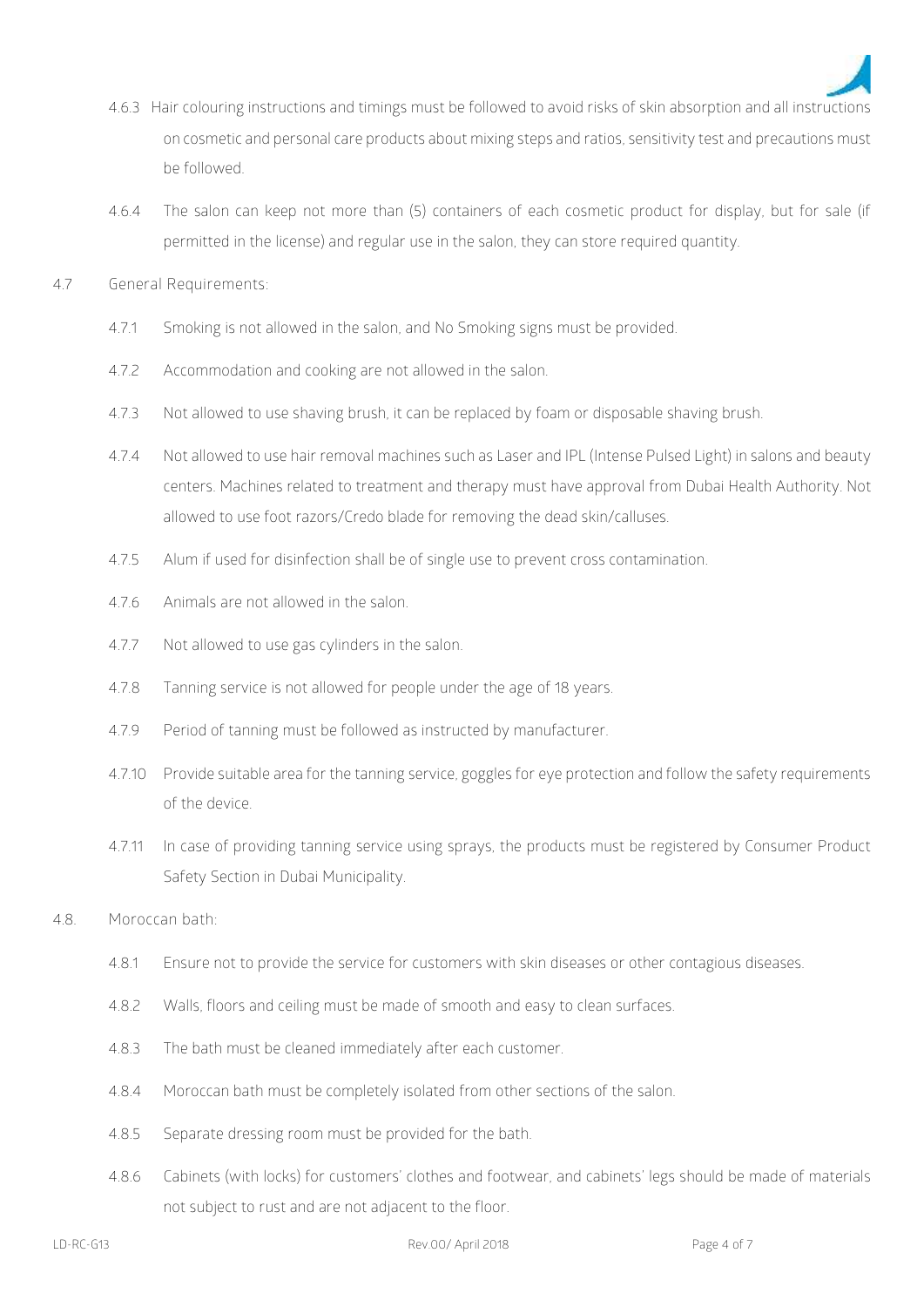

- 4.6.3 Hair colouring instructions and timings must be followed to avoid risks of skin absorption and all instructions on cosmetic and personal care products about mixing steps and ratios, sensitivity test and precautions must be followed.
- 4.6.4 The salon can keep not more than (5) containers of each cosmetic product for display, but for sale (if permitted in the license) and regular use in the salon, they can store required quantity.
- 4.7 **General Requirements:**
	- 4.7.1 Smoking is not allowed in the salon, and No Smoking signs must be provided.
	- 4.7.2 Accommodation and cooking are not allowed in the salon.
	- 4.7.3 Not allowed to use shaving brush, it can be replaced by foam or disposable shaving brush.
	- 4.7.4 Not allowed to use hair removal machines such as Laser and IPL (Intense Pulsed Light) in salons and beauty centers. Machines related to treatment and therapy must have approval from Dubai Health Authority. Not allowed to use foot razors/Credo blade for removing the dead skin/calluses.
	- 4.7.5 Alum if used for disinfection shall be of single use to prevent cross contamination.
	- 4.7.6 Animals are not allowed in the salon.
	- 4.7.7 Not allowed to use gas cylinders in the salon.
	- 4.7.8 Tanning service is not allowed for people under the age of 18 years.
	- 4.7.9 Period of tanning must be followed as instructed by manufacturer.
	- 4.7.10 Provide suitable area for the tanning service, goggles for eye protection and follow the safety requirements of the device.
	- 4.7.11 In case of providing tanning service using sprays, the products must be registered by Consumer Product Safety Section in Dubai Municipality.
- 4.8. **Moroccan bath:**
	- 4.8.1 Ensure not to provide the service for customers with skin diseases or other contagious diseases.
	- 4.8.2 Walls, floors and ceiling must be made of smooth and easy to clean surfaces.
	- 4.8.3 The bath must be cleaned immediately after each customer.
	- 4.8.4 Moroccan bath must be completely isolated from other sections of the salon.
	- 4.8.5 Separate dressing room must be provided for the bath.
	- 4.8.6 Cabinets (with locks) for customers' clothes and footwear, and cabinets' legs should be made of materials not subject to rust and are not adjacent to the floor.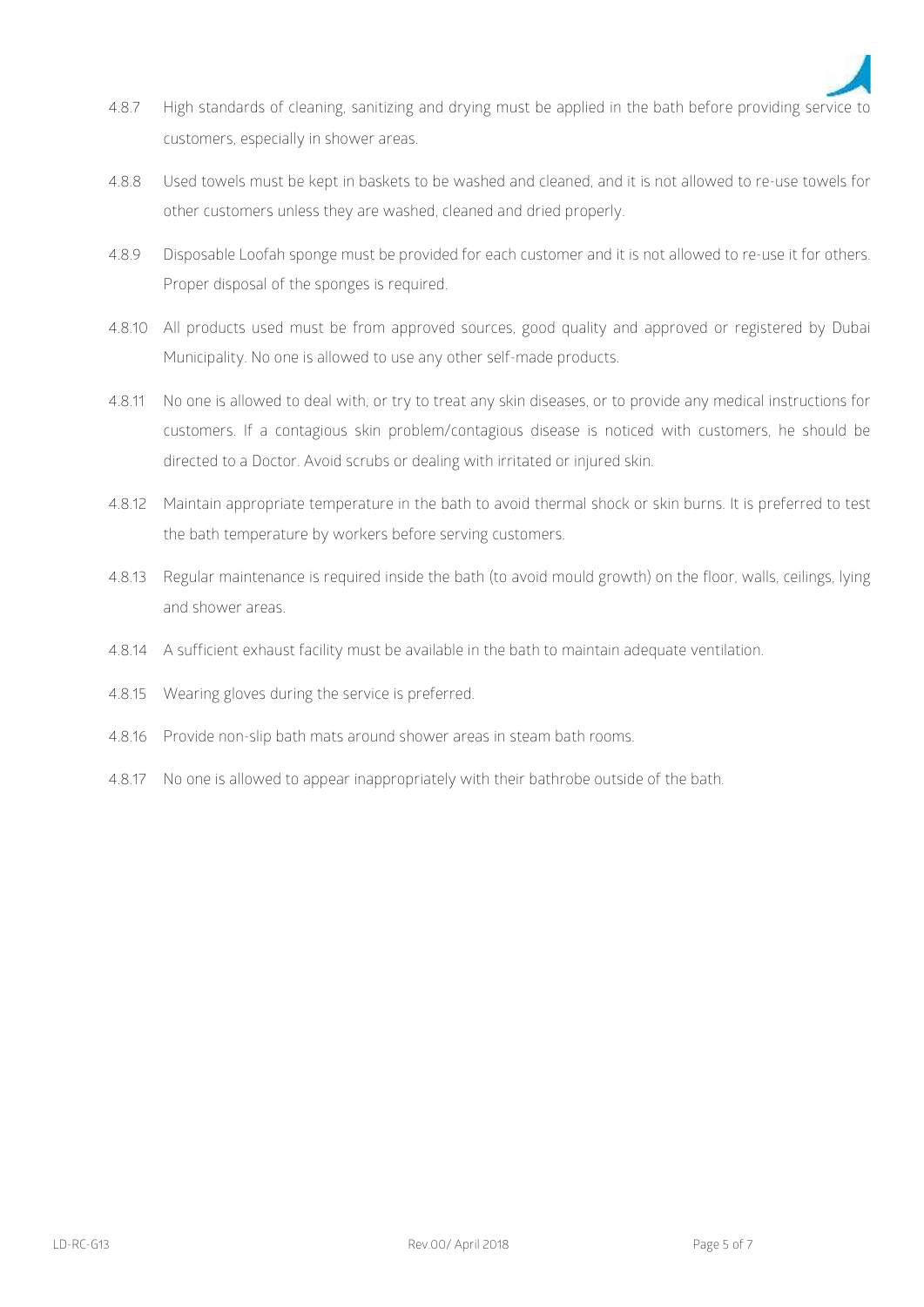

- 4.8.7 High standards of cleaning, sanitizing and drying must be applied in the bath before providing service to customers, especially in shower areas.
- 4.8.8 Used towels must be kept in baskets to be washed and cleaned, and it is not allowed to re-use towels for other customers unless they are washed, cleaned and dried properly.
- 4.8.9 Disposable Loofah sponge must be provided for each customer and it is not allowed to re-use it for others. Proper disposal of the sponges is required.
- 4.8.10 All products used must be from approved sources, good quality and approved or registered by Dubai Municipality. No one is allowed to use any other self-made products.
- 4.8.11 No one is allowed to deal with, or try to treat any skin diseases, or to provide any medical instructions for customers. If a contagious skin problem/contagious disease is noticed with customers, he should be directed to a Doctor. Avoid scrubs or dealing with irritated or injured skin.
- 4.8.12 Maintain appropriate temperature in the bath to avoid thermal shock or skin burns. It is preferred to test the bath temperature by workers before serving customers.
- 4.8.13 Regular maintenance is required inside the bath (to avoid mould growth) on the floor, walls, ceilings, lying and shower areas.
- 4.8.14 A sufficient exhaust facility must be available in the bath to maintain adequate ventilation.
- 4.8.15 Wearing gloves during the service is preferred.
- 4.8.16 Provide non-slip bath mats around shower areas in steam bath rooms.
- 4.8.17 No one is allowed to appear inappropriately with their bathrobe outside of the bath.